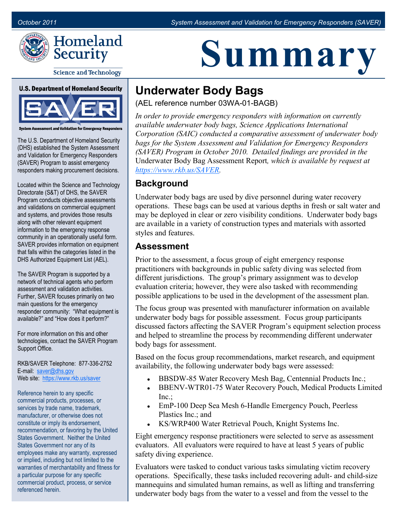



**Science and Technology** 

**U.S. Department of Homeland Security** 



ent and Validation for Emergency Responders

The U.S. Department of Homeland Security (DHS) established the System Assessment and Validation for Emergency Responders (SAVER) Program to assist emergency responders making procurement decisions.

Located within the Science and Technology Directorate (S&T) of DHS, the SAVER Program conducts objective assessments and validations on commercial equipment and systems, and provides those results along with other relevant equipment information to the emergency response community in an operationally useful form. SAVER provides information on equipment that falls within the categories listed in the DHS Authorized Equipment List (AEL).

The SAVER Program is supported by a network of technical agents who perform assessment and validation activities. Further, SAVER focuses primarily on two main questions for the emergency responder community: "What equipment is available?" and "How does it perform?"

For more information on this and other technologies, contact the SAVER Program Support Office.

RKB/SAVER Telephone: 877-336-2752 E-mail: [saver@dhs.gov](mailto:saver@dhs.gov) Web site: [https://www.rkb.us/saver](https://www.rkb.us/SAVER)

Reference herein to any specific commercial products, processes, or services by trade name, trademark, manufacturer, or otherwise does not constitute or imply its endorsement, recommendation, or favoring by the United States Government. Neither the United States Government nor any of its employees make any warranty, expressed or implied, including but not limited to the warranties of merchantability and fitness for a particular purpose for any specific commercial product, process, or service referenced herein.

# **Summary**

## **Underwater Body Bags**

(AEL reference number 03WA-01-BAGB)

*In order to provide emergency responders with information on currently available underwater body bags, Science Applications International Corporation (SAIC) conducted a comparative assessment of underwater body bags for the System Assessment and Validation for Emergency Responders (SAVER) Program in October 2010. Detailed findings are provided in the*  Underwater Body Bag Assessment Report*, which is available by request at [https://www.rkb.us/SAVER.](https://www.rkb.us/SAVER)*

#### **Background**

Underwater body bags are used by dive personnel during water recovery operations. These bags can be used at various depths in fresh or salt water and may be deployed in clear or zero visibility conditions. Underwater body bags are available in a variety of construction types and materials with assorted styles and features.

#### **Assessment**

Prior to the assessment, a focus group of eight emergency response practitioners with backgrounds in public safety diving was selected from different jurisdictions. The group's primary assignment was to develop evaluation criteria; however, they were also tasked with recommending possible applications to be used in the development of the assessment plan.

The focus group was presented with manufacturer information on available underwater body bags for possible assessment. Focus group participants discussed factors affecting the SAVER Program's equipment selection process and helped to streamline the process by recommending different underwater body bags for assessment.

Based on the focus group recommendations, market research, and equipment availability, the following underwater body bags were assessed:

- BBSDW-85 Water Recovery Mesh Bag, Centennial Products Inc.;
- BBENV-WTR01-75 Water Recovery Pouch, Medical Products Limited  $Inc:$
- EmP-100 Deep Sea Mesh 6-Handle Emergency Pouch, Peerless Plastics Inc.; and
- KS/WRP400 Water Retrieval Pouch, Knight Systems Inc.

Eight emergency response practitioners were selected to serve as assessment evaluators. All evaluators were required to have at least 5 years of public safety diving experience.

Evaluators were tasked to conduct various tasks simulating victim recovery operations. Specifically, these tasks included recovering adult- and child-size mannequins and simulated human remains, as well as lifting and transferring underwater body bags from the water to a vessel and from the vessel to the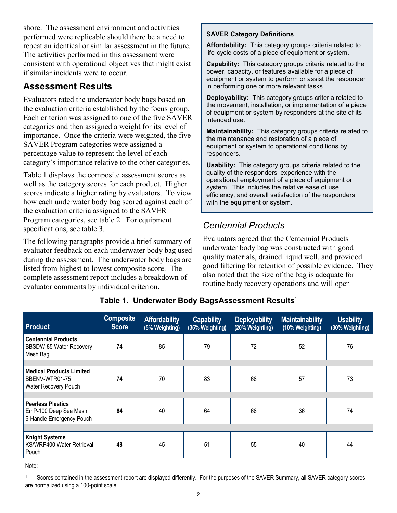shore. The assessment environment and activities performed were replicable should there be a need to repeat an identical or similar assessment in the future. The activities performed in this assessment were consistent with operational objectives that might exist if similar incidents were to occur.

## **Assessment Results**

Evaluators rated the underwater body bags based on the evaluation criteria established by the focus group. Each criterion was assigned to one of the five SAVER categories and then assigned a weight for its level of importance. Once the criteria were weighted, the five SAVER Program categories were assigned a percentage value to represent the level of each category's importance relative to the other categories.

Table 1 displays the composite assessment scores as well as the category scores for each product. Higher scores indicate a higher rating by evaluators. To view how each underwater body bag scored against each of the evaluation criteria assigned to the SAVER Program categories, see table 2. For equipment specifications, see table 3.

The following paragraphs provide a brief summary of evaluator feedback on each underwater body bag used during the assessment. The underwater body bags are listed from highest to lowest composite score. The complete assessment report includes a breakdown of evaluator comments by individual criterion.

#### **SAVER Category Definitions**

**Affordability:** This category groups criteria related to life-cycle costs of a piece of equipment or system.

**Capability:** This category groups criteria related to the power, capacity, or features available for a piece of equipment or system to perform or assist the responder in performing one or more relevant tasks.

**Deployability:** This category groups criteria related to the movement, installation, or implementation of a piece of equipment or system by responders at the site of its intended use.

**Maintainability:** This category groups criteria related to the maintenance and restoration of a piece of equipment or system to operational conditions by responders.

**Usability:** This category groups criteria related to the quality of the responders' experience with the operational employment of a piece of equipment or system. This includes the relative ease of use, efficiency, and overall satisfaction of the responders with the equipment or system.

## *Centennial Products*

Evaluators agreed that the Centennial Products underwater body bag was constructed with good quality materials, drained liquid well, and provided good filtering for retention of possible evidence. They also noted that the size of the bag is adequate for routine body recovery operations and will open

| <b>Product</b>                                                            | <b>Composite</b><br><b>Score</b> | <b>Affordability</b><br>(5% Weighting) | <b>Capability</b><br>(35% Weighting) | <b>Deployability</b><br>(20% Weighting) | <b>Maintainability</b><br>(10% Weighting) | <b>Usability</b><br>(30% Weighting) |  |
|---------------------------------------------------------------------------|----------------------------------|----------------------------------------|--------------------------------------|-----------------------------------------|-------------------------------------------|-------------------------------------|--|
| <b>Centennial Products</b><br><b>BBSDW-85 Water Recovery</b><br>Mesh Bag  | 74                               | 85                                     | 79                                   | 72                                      | 52                                        | 76                                  |  |
|                                                                           |                                  |                                        |                                      |                                         |                                           |                                     |  |
| <b>Medical Products Limited</b><br>BBENV-WTR01-75<br>Water Recovery Pouch | 74                               | 70                                     | 83                                   | 68                                      | 57                                        | 73                                  |  |
|                                                                           |                                  |                                        |                                      |                                         |                                           |                                     |  |
| Peerless Plastics<br>EmP-100 Deep Sea Mesh<br>6-Handle Emergency Pouch    | 64                               | 40                                     | 64                                   | 68                                      | 36                                        | 74                                  |  |
|                                                                           |                                  |                                        |                                      |                                         |                                           |                                     |  |
| <b>Knight Systems</b><br>KS/WRP400 Water Retrieval<br>Pouch               | 48                               | 45                                     | 51                                   | 55                                      | 40                                        | 44                                  |  |

#### **Table 1. Underwater Body BagsAssessment Results<sup>1</sup>**

Note:

Scores contained in the assessment report are displayed differently. For the purposes of the SAVER Summary, all SAVER category scores are normalized using a 100-point scale.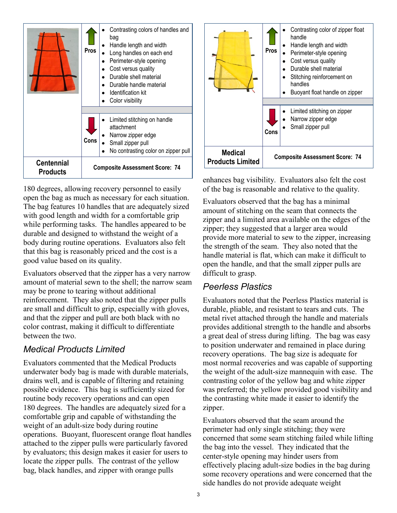|                                      | <b>Pros</b> | Contrasting colors of handles and<br>bag<br>Handle length and width<br>Long handles on each end<br>Perimeter-style opening<br>Cost versus quality<br>Durable shell material<br>Durable handle material<br>Identification kit<br>Color visibility |  |  |
|--------------------------------------|-------------|--------------------------------------------------------------------------------------------------------------------------------------------------------------------------------------------------------------------------------------------------|--|--|
|                                      | Cons        | Limited stitching on handle<br>attachment<br>Narrow zipper edge<br>Small zipper pull<br>No contrasting color on zipper pull                                                                                                                      |  |  |
| <b>Centennial</b><br><b>Products</b> |             | <b>Composite Assessment Score: 74</b>                                                                                                                                                                                                            |  |  |

180 degrees, allowing recovery personnel to easily open the bag as much as necessary for each situation. The bag features 10 handles that are adequately sized with good length and width for a comfortable grip while performing tasks. The handles appeared to be durable and designed to withstand the weight of a body during routine operations. Evaluators also felt that this bag is reasonably priced and the cost is a good value based on its quality.

Evaluators observed that the zipper has a very narrow amount of material sewn to the shell; the narrow seam may be prone to tearing without additional reinforcement. They also noted that the zipper pulls are small and difficult to grip, especially with gloves, and that the zipper and pull are both black with no color contrast, making it difficult to differentiate between the two.

## *Medical Products Limited*

Evaluators commented that the Medical Products underwater body bag is made with durable materials, drains well, and is capable of filtering and retaining possible evidence. This bag is sufficiently sized for routine body recovery operations and can open 180 degrees. The handles are adequately sized for a comfortable grip and capable of withstanding the weight of an adult-size body during routine operations. Buoyant, fluorescent orange float handles attached to the zipper pulls were particularly favored by evaluators; this design makes it easier for users to locate the zipper pulls. The contrast of the yellow bag, black handles, and zipper with orange pulls



enhances bag visibility. Evaluators also felt the cost of the bag is reasonable and relative to the quality.

Evaluators observed that the bag has a minimal amount of stitching on the seam that connects the zipper and a limited area available on the edges of the zipper; they suggested that a larger area would provide more material to sew to the zipper, increasing the strength of the seam. They also noted that the handle material is flat, which can make it difficult to open the handle, and that the small zipper pulls are difficult to grasp.

#### *Peerless Plastics*

Evaluators noted that the Peerless Plastics material is durable, pliable, and resistant to tears and cuts. The metal rivet attached through the handle and materials provides additional strength to the handle and absorbs a great deal of stress during lifting. The bag was easy to position underwater and remained in place during recovery operations. The bag size is adequate for most normal recoveries and was capable of supporting the weight of the adult-size mannequin with ease. The contrasting color of the yellow bag and white zipper was preferred; the yellow provided good visibility and the contrasting white made it easier to identify the zipper.

Evaluators observed that the seam around the perimeter had only single stitching; they were concerned that some seam stitching failed while lifting the bag into the vessel. They indicated that the center-style opening may hinder users from effectively placing adult-size bodies in the bag during some recovery operations and were concerned that the side handles do not provide adequate weight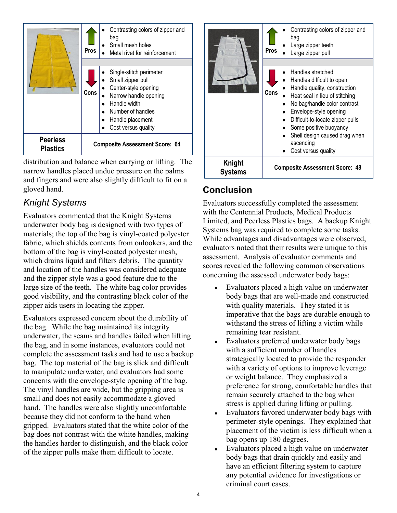

distribution and balance when carrying or lifting. The narrow handles placed undue pressure on the palms and fingers and were also slightly difficult to fit on a gloved hand.

## *Knight Systems*

Evaluators commented that the Knight Systems underwater body bag is designed with two types of materials; the top of the bag is vinyl-coated polyester fabric, which shields contents from onlookers, and the bottom of the bag is vinyl-coated polyester mesh, which drains liquid and filters debris. The quantity and location of the handles was considered adequate and the zipper style was a good feature due to the large size of the teeth. The white bag color provides good visibility, and the contrasting black color of the zipper aids users in locating the zipper.

Evaluators expressed concern about the durability of the bag. While the bag maintained its integrity underwater, the seams and handles failed when lifting the bag, and in some instances, evaluators could not complete the assessment tasks and had to use a backup bag. The top material of the bag is slick and difficult to manipulate underwater, and evaluators had some concerns with the envelope-style opening of the bag. The vinyl handles are wide, but the gripping area is small and does not easily accommodate a gloved hand. The handles were also slightly uncomfortable because they did not conform to the hand when gripped. Evaluators stated that the white color of the bag does not contrast with the white handles, making the handles harder to distinguish, and the black color of the zipper pulls make them difficult to locate.



## **Conclusion**

Evaluators successfully completed the assessment with the Centennial Products, Medical Products Limited, and Peerless Plastics bags. A backup Knight Systems bag was required to complete some tasks. While advantages and disadvantages were observed, evaluators noted that their results were unique to this assessment. Analysis of evaluator comments and scores revealed the following common observations concerning the assessed underwater body bags:

- Evaluators placed a high value on underwater body bags that are well-made and constructed with quality materials. They stated it is imperative that the bags are durable enough to withstand the stress of lifting a victim while remaining tear resistant.
- Evaluators preferred underwater body bags with a sufficient number of handles strategically located to provide the responder with a variety of options to improve leverage or weight balance. They emphasized a preference for strong, comfortable handles that remain securely attached to the bag when stress is applied during lifting or pulling.
- Evaluators favored underwater body bags with perimeter-style openings. They explained that placement of the victim is less difficult when a bag opens up 180 degrees.
- Evaluators placed a high value on underwater body bags that drain quickly and easily and have an efficient filtering system to capture any potential evidence for investigations or criminal court cases.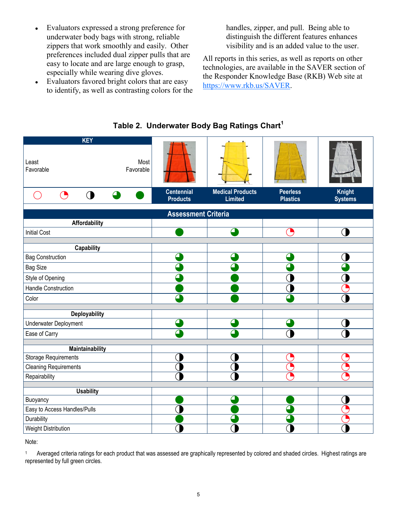- Evaluators expressed a strong preference for underwater body bags with strong, reliable zippers that work smoothly and easily. Other preferences included dual zipper pulls that are easy to locate and are large enough to grasp, especially while wearing dive gloves.
- Evaluators favored bright colors that are easy to identify, as well as contrasting colors for the

handles, zipper, and pull. Being able to distinguish the different features enhances visibility and is an added value to the user.

All reports in this series, as well as reports on other technologies, are available in the SAVER section of the Responder Knowledge Base (RKB) Web site at [https://www.rkb.us/SAVER.](https://www.rkb.us/SAVER) 



#### **Table 2. Underwater Body Bag Ratings Chart<sup>1</sup>**

Note:

<sup>1</sup> Averaged criteria ratings for each product that was assessed are graphically represented by colored and shaded circles. Highest ratings are represented by full green circles.